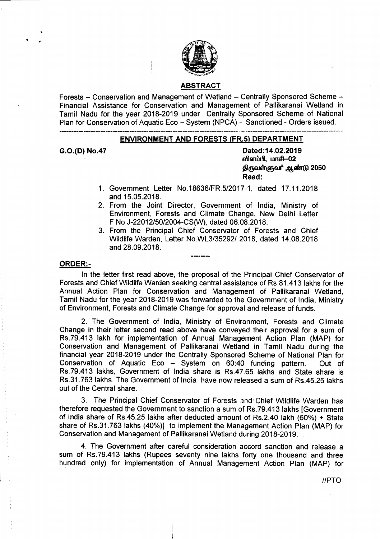

### ABSTRACT

Forests - Conservation and Management of Wetland - Centrally Sponsored Scheme -Financial Assistance for Conservation and Management of Pallikaranai Wetland in Tamil Nadu for the year 2018-2019 under Centrally Sponsored Scheme of National Plan for Conservation of Aquatic Eco - System (NPCA) - Sanctioned - Orders issued.

#### ENVIRONMENT AND FORESTS (FR.S) DEPARTMENT

G.O.(D) No.47 Dated:14.02.2019 விளம்பி, மாசி-02 திருவள்ளுவர் ஆண்டு 2050 Read:

- 1. Government Letter *NO.18636/FR5/2017-1,* dated 17.11.2018 and 15.05.2018.
- 2. From the Joint Director, Government of India, Ministry of Environment, Forests and Climate Change, New Delhi Letter F *NO.J-22012/50/2004-CS(W),* dated 06.08.2018.
- 3. From the Principal Chief Conservator of Forests and Chief Wildlife Warden, Letter NO.WL3/35292! 2018, dated 14.08.2018 and 28.09.2018.

#### ORDER:-

In the letter first read above, the proposal of the Principal Chief Conservator of Forests and Chief Wildlife Warden seeking central assistance of RS.81.413 lakhs for the Annual Action Plan for Conservation and Management of Pallikaranai Wetland, Tamil Nadu for the year 2018-2019 was forwarded to the Government of India, Ministry of Environment, Forests and Climate Change for approval and release of funds.

2. The Government of India, Ministry of Environment, Forests and Climate Change in their letter second read above have conveyed their approval for a sum of RS.79.413 lakh for implementation of Annual Management Action Plan (MAP) for Conservation and Management of Pallikaranai Wetland in Tamil Nadu during the financial year 2018-2019 under the Centrally Sponsored Scheme of National Plan for Conservation of Aquatic Eco - System on 60:40 funding pattern. Out of RS.79.413 lakhs, Government of India share is Rs.47.65 lakhs and State share is RS.31.763 lakhs. The Government of India have now released a sum of RS.45.25 lakhs out of the Central share.

3. The Principal Chief Conservator of Forests and Chief Wildlife Warden has therefore requested the Government to sanction a sum of Rs.79.413 lakhs [Government of India share of Rs.45.25 lakhs after deducted amount of Rs.2.40 lakh (60%) + State share of RS.31.763 lakhs (40%)] to implement the Management Action Plan (MAP) for Conservation and Management of Pallikaranai Wetland during 2018-2019.

4. The Government after careful consideration accord sanction and release a sum of RS.79.413 lakhs (Rupees seventy nine lakhs forty one thousand and three hundred only) for implementation of Annual Management Action Plan (MAP) for

*I/PTO*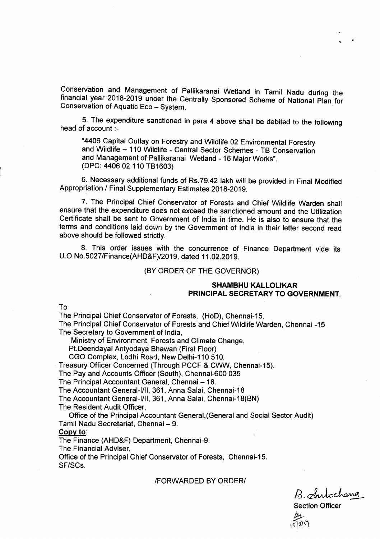Conservation and Management of Pallikaranai Wetland in Tamil Nadu during the financial year 2018-2019 under the Centrally Sponsored Scheme of National Plan for Conservation of Aquatic Eco - System.

5. The expenditure sanctioned in para 4 above shall be debited to the following head of account :-

"4406 Capital Outlay on Forestry and Wildlife 02 Environmental Forestry and Wildlife - 110 Wildlife - Central Sector Schemes - TB Conservation and Management of Pallikaranai Wetland - 16 Major Works". (DPC: 440602 110 TB1603)

6. Necessary additional funds of RS.79.42 lakh will be provided in Final Modified Appropriation *I* Final Supplementary Estimates 2018-2019.

7. The Principal Chief Conservator of Forests and Chief Wildlife Warden shall ensure that the expenditure does not exceed the sanctioned amount and the Utilization Certificate shall be sent to Government of India in time. He is also to ensure that the terms and conditions laid down by the Government of India in their letter second read above should be followed strictly.

8. This order issues with the concurrence of Finance Department vide its U.O.No.5027/Finance(AHD&F)/2019, dated 11.02.2019.

#### (BY ORDER OF THE GOVERNOR)

### **SHAMBHU KALLOLIKAR PRINCIPAL SECRETARY TO GOVERNMENT.**

To

The Principal Chief Conservator of Forests, (HoD), Chennai-15.

The Principal Chief Conservator of Forests and Chief Wildlife Warden, Chennai -15 The Secretary to Government of India,

Ministry of Environment, Forests and Climate Change,

Pt.Deendayal Antyodaya Bhawan (First Floor)

CGO Complex, Lodhi Road, New Delhi-110 510.

Treasury Officer Concerned (Through PCCF & CWW, Chennai-15).

The Pay and Accounts Officer (South), Chennai-600 035

The Principal Accountant General, Chennai - 18.

The Accountant General-I/II, 361, Anna Salai, Chennai-18

The Accountant General-I/II, 361, Anna Salai, Chennai-18(BN)

The Resident Audit Officer,

Office of the Principal Accountant General,(General and Social Sector Audit) Tamil Nadu Secretariat, Chennai - 9.

#### Copy to:

The Finance (AHD&F) Department, Chennai-9.

The Financial Adviser,

Office of the Principal Chief Conservator of Forests, Chennai-15. SF/SCs.

#### IFORWARDED BY ORDERI

 $B.$  Subchana Section Officer *\_b:.*  $(\zeta)$ 2) $\cup$